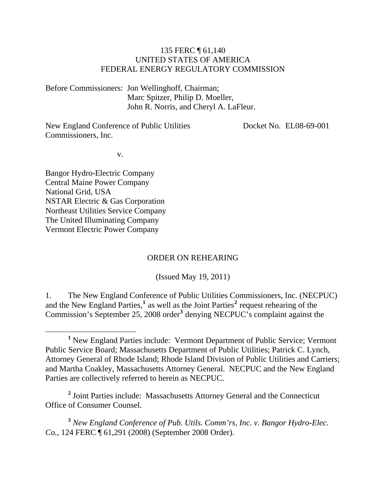#### 135 FERC ¶ 61,140 UNITED STATES OF AMERICA FEDERAL ENERGY REGULATORY COMMISSION

Before Commissioners: Jon Wellinghoff, Chairman; Marc Spitzer, Philip D. Moeller, John R. Norris, and Cheryl A. LaFleur.

New England Conference of Public Utilities Commissioners, Inc.

Docket No. EL08-69-001

v.

Bangor Hydro-Electric Company Central Maine Power Company National Grid, USA NSTAR Electric & Gas Corporation Northeast Utilities Service Company The United Illuminating Company Vermont Electric Power Company

#### ORDER ON REHEARING

(Issued May 19, 2011)

1. The New England Conference of Public Utilities Commissioners, Inc. (NECPUC) and the New England Parties,<sup>[1](#page-0-0)</sup> as well as the Joint Parties<sup>[2](#page-0-1)</sup> request rehearing of the Commission's September 25, 2008 order<sup>[3](#page-0-2)</sup> denying NECPUC's complaint against the

<span id="page-0-1"></span><sup>2</sup> Joint Parties include: Massachusetts Attorney General and the Connecticut Office of Consumer Counsel.

<span id="page-0-2"></span>**<sup>3</sup>** *New England Conference of Pub. Utils. Comm'rs*, *Inc*. *v*. *Bangor Hydro-Elec. Co.*, 124 FERC ¶ 61,291 (2008) (September 2008 Order).

<span id="page-0-0"></span><sup>&</sup>lt;u>1</u> <sup>1</sup> New England Parties include: Vermont Department of Public Service; Vermont Public Service Board; Massachusetts Department of Public Utilities; Patrick C. Lynch, Attorney General of Rhode Island; Rhode Island Division of Public Utilities and Carriers; and Martha Coakley, Massachusetts Attorney General. NECPUC and the New England Parties are collectively referred to herein as NECPUC.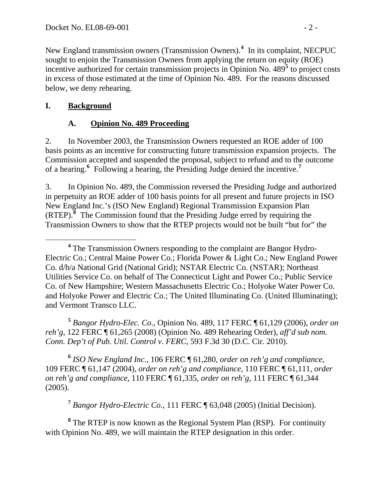New England transmission owners (Transmission Owners).**<sup>4</sup>** In its complaint, NECPUC sought to enjoin the Transmission Owners from applying the return on equity (ROE) incentive authorized for certain transmission projects in Opinion No. 489**<sup>5</sup>** to project costs in excess of those estimated at the time of Opinion No. 489. For the reasons discussed below, we deny rehearing.

#### **I. Background**

#### **A. Opinion No. 489 Proceeding**

2. In November 2003, the Transmission Owners requested an ROE adder of 100 basis points as an incentive for constructing future transmission expansion projects. The Commission accepted and suspended the proposal, subject to refund and to the outcome of a hearing.**[6](#page-1-0)** Following a hearing, the Presiding Judge denied the incentive.**[7](#page-1-1)**

3. In Opinion No. 489, the Commission reversed the Presiding Judge and authorized in perpetuity an ROE adder of 100 basis points for all present and future projects in ISO New England Inc.'s (ISO New England) Regional Transmission Expansion Plan (RTEP).**[8](#page-1-2)** The Commission found that the Presiding Judge erred by requiring the Transmission Owners to show that the RTEP projects would not be built "but for" the

**<sup>5</sup>** *Bangor Hydro-Elec. Co*., Opinion No. 489, 117 FERC ¶ 61,129 (2006), *order on reh'g*, 122 FERC ¶ 61,265 (2008) (Opinion No. 489 Rehearing Order), *aff'd sub nom*. *Conn. Dep't of Pub. Util. Control v*. *FERC*, 593 F.3d 30 (D.C. Cir. 2010).

<span id="page-1-0"></span>**<sup>6</sup>** *ISO New England Inc*., 106 FERC ¶ 61,280, *order on reh'g and compliance*, 109 FERC ¶ 61,147 (2004), *order on reh'g and compliance*, 110 FERC ¶ 61,111, *order on reh'g and compliance*, 110 FERC ¶ 61,335, *order on reh'g*, 111 FERC ¶ 61,344 (2005).

**<sup>7</sup>** *Bangor Hydro-Electric Co*., 111 FERC ¶ 63,048 (2005) (Initial Decision).

<span id="page-1-2"></span><span id="page-1-1"></span><sup>8</sup> The RTEP is now known as the Regional System Plan (RSP). For continuity with Opinion No. 489, we will maintain the RTEP designation in this order.

**<sup>4</sup>** <sup>4</sup> The Transmission Owners responding to the complaint are Bangor Hydro-Electric Co.; Central Maine Power Co.; Florida Power & Light Co.; New England Power Co. d/b/a National Grid (National Grid); NSTAR Electric Co. (NSTAR); Northeast Utilities Service Co. on behalf of The Connecticut Light and Power Co.; Public Service Co. of New Hampshire; Western Massachusetts Electric Co.; Holyoke Water Power Co. and Holyoke Power and Electric Co.; The United Illuminating Co. (United Illuminating); and Vermont Transco LLC.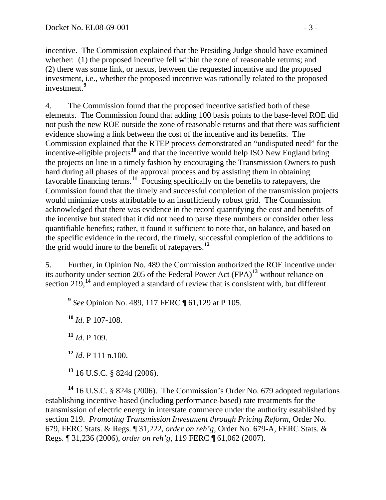incentive. The Commission explained that the Presiding Judge should have examined whether: (1) the proposed incentive fell within the zone of reasonable returns; and (2) there was some link, or nexus, between the requested incentive and the proposed investment, i.e., whether the proposed incentive was rationally related to the proposed investment.**<sup>9</sup>**

4. The Commission found that the proposed incentive satisfied both of these elements. The Commission found that adding 100 basis points to the base-level ROE did not push the new ROE outside the zone of reasonable returns and that there was sufficient evidence showing a link between the cost of the incentive and its benefits. The Commission explained that the RTEP process demonstrated an "undisputed need" for the incentive-eligible projects**[10](#page-2-0)** and that the incentive would help ISO New England bring the projects on line in a timely fashion by encouraging the Transmission Owners to push hard during all phases of the approval process and by assisting them in obtaining favorable financing terms.<sup>[11](#page-2-1)</sup> Focusing specifically on the benefits to ratepayers, the Commission found that the timely and successful completion of the transmission projects would minimize costs attributable to an insufficiently robust grid. The Commission acknowledged that there was evidence in the record quantifying the cost and benefits of the incentive but stated that it did not need to parse these numbers or consider other less quantifiable benefits; rather, it found it sufficient to note that, on balance, and based on the specific evidence in the record, the timely, successful completion of the additions to the grid would inure to the benefit of ratepayers.**[12](#page-2-2)**

5. Further, in Opinion No. 489 the Commission authorized the ROE incentive under its authority under section 205 of the Federal Power Act (FPA)**[13](#page-2-3)** without reliance on section 219,**[14](#page-2-4)** and employed a standard of review that is consistent with, but different

**<sup>9</sup>** *See* Opinion No. 489, 117 FERC ¶ 61,129 at P 105.

<span id="page-2-0"></span>**<sup>10</sup>** *Id*. P 107-108.

<span id="page-2-1"></span>**<sup>11</sup>** *Id*. P 109.

**<sup>12</sup>** *Id*. P 111 n.100.

**<sup>13</sup>** 16 U.S.C. § 824d (2006).

<span id="page-2-4"></span><span id="page-2-3"></span><span id="page-2-2"></span>**<sup>14</sup>** 16 U.S.C. § 824s (2006). The Commission's Order No. 679 adopted regulations establishing incentive-based (including performance-based) rate treatments for the transmission of electric energy in interstate commerce under the authority established by section 219. *Promoting Transmission Investment through Pricing Reform*, Order No. 679, FERC Stats. & Regs. ¶ 31,222, *order on reh'g*, Order No. 679-A, FERC Stats. & Regs. ¶ 31,236 (2006), *order on reh'g*, 119 FERC ¶ 61,062 (2007).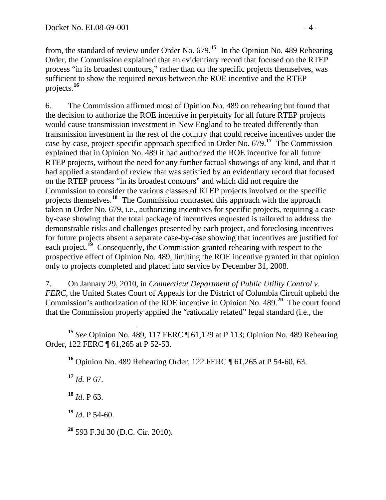from, the standard of review under Order No. 679.**<sup>15</sup>** In the Opinion No. 489 Rehearing Order, the Commission explained that an evidentiary record that focused on the RTEP process "in its broadest contours," rather than on the specific projects themselves, was sufficient to show the required nexus between the ROE incentive and the RTEP projects.**<sup>16</sup>**

6. The Commission affirmed most of Opinion No. 489 on rehearing but found that the decision to authorize the ROE incentive in perpetuity for all future RTEP projects would cause transmission investment in New England to be treated differently than transmission investment in the rest of the country that could receive incentives under the case-by-case, project-specific approach specified in Order No. 679.**[17](#page-3-0)** The Commission explained that in Opinion No. 489 it had authorized the ROE incentive for all future RTEP projects, without the need for any further factual showings of any kind, and that it had applied a standard of review that was satisfied by an evidentiary record that focused on the RTEP process "in its broadest contours" and which did not require the Commission to consider the various classes of RTEP projects involved or the specific projects themselves.**[18](#page-3-1)** The Commission contrasted this approach with the approach taken in Order No. 679, i.e., authorizing incentives for specific projects, requiring a cas eby-case showing that the total package of incentives requested is tailored to address t he demonstrable risks and challenges presented by each project, and foreclosing incentives for future projects absent a separate case-by-case showing that incentives are justified for each project.<sup>[19](#page-3-2)</sup> Consequently, the Commission granted rehearing with respect to the prospective effect of Opinion No. 489, limiting the ROE incentive granted in that opinion only to projects completed and placed into service by December 31, 2008.

7. On January 29, 2010, in *Connecticut Department of Public Utility Control v*. *FERC*, the United States Court of Appeals for the District of Columbia Circuit upheld the Commission's authorization of the ROE incentive in Opinion No. 489.**[20](#page-3-3)** The court found that the Commission properly applied the "rationally related" legal standard (i.e., the

 $\overline{a}$ **<sup>15</sup>** *See* Opinion No. 489, 117 FERC ¶ 61,129 at P 113; Opinion No. 489 Rehearing Order, 122 FERC ¶ 61,265 at P 52-53.

**<sup>16</sup>** Opinion No. 489 Rehearing Order, 122 FERC ¶ 61,265 at P 54-60, 63.

<span id="page-3-0"></span> $17$  *Id.* P 67.

<span id="page-3-1"></span>**<sup>18</sup>** *Id*. P 63.

<span id="page-3-2"></span>**<sup>19</sup>** *Id*. P 54-60.

<span id="page-3-3"></span>**<sup>20</sup>** 593 F.3d 30 (D.C. Cir. 2010).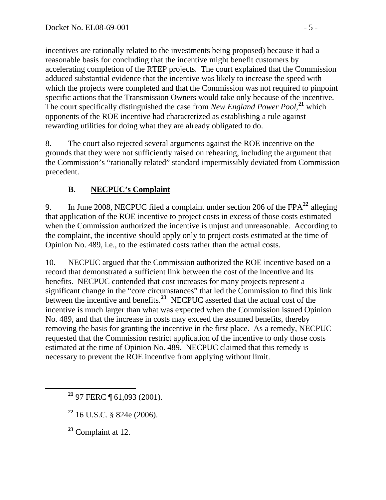incentives are rationally related to the investments being proposed) because it had a reasonable basis for concluding that the incentive might benefit customers by accelerating completion of the RTEP projects. The court explained that the Commission adduced substantial evidence that the incentive was likely to increase the speed with which the projects were completed and that the Commission was not required to pinpoint specific actions that the Transmission Owners would take only because of the incentive. The court specifically distinguished the case from *New England Power Pool*, **<sup>21</sup>** which opponents of the ROE incentive had characterized as establishing a rule against rewarding utilities for doing what they are already obligated to do.

8. The court also rejected several arguments against the ROE incentive on the grounds that they were not sufficiently raised on rehearing, including the argument that the Commission's "rationally related" standard impermissibly deviated from Commission precedent.

## **B. NECPUC's Complaint**

9. In June 2008, NECPUC filed a complaint under section 206 of the FPA**[22](#page-4-0)** alleging that application of the ROE incentive to project costs in excess of those costs estimated when the Commission authorized the incentive is unjust and unreasonable. According to the complaint, the incentive should apply only to project costs estimated at the time of Opinion No. 489, i.e., to the estimated costs rather than the actual costs.

10. NECPUC argued that the Commission authorized the ROE incentive based on a record that demonstrated a sufficient link between the cost of the incentive and its benefits. NECPUC contended that cost increases for many projects represent a significant change in the "core circumstances" that led the Commission to find this link between the incentive and benefits.<sup>[23](#page-4-1)</sup> NECPUC asserted that the actual cost of the incentive is much larger than what was expected when the Commission issued Opinion No. 489, and that the increase in costs may exceed the assumed benefits, thereby removing the basis for granting the incentive in the first place. As a remedy, NECPUC requested that the Commission restrict application of the incentive to only those costs estimated at the time of Opinion No. 489. NECPUC claimed that this remedy is necessary to prevent the ROE incentive from applying without limit.

<span id="page-4-0"></span>**<sup>22</sup>** 16 U.S.C. § 824e (2006).

<span id="page-4-1"></span>**<sup>23</sup>** Complaint at 12.

**<sup>21</sup>** 97 FERC ¶ 61,093 (2001).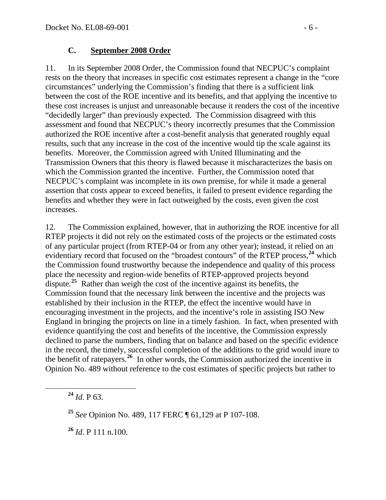#### **C. September 2008 Order**

11. In its September 2008 Order, the Commission found that NECPUC's complaint rests on the theory that increases in specific cost estimates represent a change in the "core circumstances" underlying the Commission's finding that there is a sufficient link between the cost of the ROE incentive and its benefits, and that applying the incentive to these cost increases is unjust and unreasonable because it renders the cost of the incentive "decidedly larger" than previously expected. The Commission disagreed with this assessment and found that NECPUC's theory incorrectly presumes that the Commission authorized the ROE incentive after a cost-benefit analysis that generated roughly equal results, such that any increase in the cost of the incentive would tip the scale against its benefits. Moreover, the Commission agreed with United Illuminating and the Transmission Owners that this theory is flawed because it mischaracterizes the basis on which the Commission granted the incentive. Further, the Commission noted that NECPUC's complaint was incomplete in its own premise, for while it made a general assertion that costs appear to exceed benefits, it failed to present evidence regarding the benefits and whether they were in fact outweighed by the costs, even given the cost increases.

12. The Commission explained, however, that in authorizing the ROE incentive for all RTEP projects it did not rely on the estimated costs of the projects or the estimated costs of any particular project (from RTEP-04 or from any other year); instead, it relied on an evidentiary record that focused on the "broadest contours" of the RTEP process,**[24](#page-5-0)** which the Commission found trustworthy because the independence and quality of this process place the necessity and region-wide benefits of RTEP-approved projects beyond dispute.<sup>[25](#page-5-1)</sup> Rather than weigh the cost of the incentive against its benefits, the Commission found that the necessary link between the incentive and the projects was established by their inclusion in the RTEP, the effect the incentive would have in encouraging investment in the projects, and the incentive's role in assisting ISO New England in bringing the projects on line in a timely fashion. In fact, when presented with evidence quantifying the cost and benefits of the incentive, the Commission expressly declined to parse the numbers, finding that on balance and based on the specific evidence in the record, the timely, successful completion of the additions to the grid would inure to the benefit of ratepayers.**[26](#page-5-2)** In other words, the Commission authorized the incentive in Opinion No. 489 without reference to the cost estimates of specific projects but rather to

<span id="page-5-0"></span>**<sup>24</sup>** *Id*. P 63.

<span id="page-5-2"></span>**<sup>26</sup>** *Id*. P 111 n.100.

<span id="page-5-1"></span>**<sup>25</sup>** *See* Opinion No. 489, 117 FERC ¶ 61,129 at P 107-108.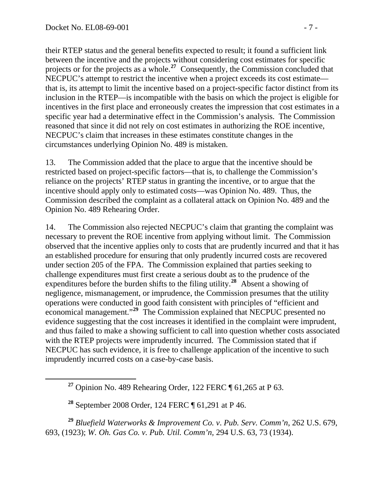their RTEP status and the general benefits expected to result; it found a sufficient link between the incentive and the projects without considering cost estimates for specific projects or for the projects as a whole.**<sup>27</sup>** Consequently, the Commission concluded that NECPUC's attempt to restrict the incentive when a project exceeds its cost estimate that is, its attempt to limit the incentive based on a project-specific factor distinct from its inclusion in the RTEP—is incompatible with the basis on which the project is eligible for incentives in the first place and erroneously creates the impression that cost estimates in a specific year had a determinative effect in the Commission's analysis. The Commission reasoned that since it did not rely on cost estimates in authorizing the ROE incentive, NECPUC's claim that increases in these estimates constitute changes in the circumstances underlying Opinion No. 489 is mistaken.

13. The Commission added that the place to argue that the incentive should be restricted based on project-specific factors—that is, to challenge the Commission's reliance on the projects' RTEP status in granting the incentive, or to argue that the incentive should apply only to estimated costs—was Opinion No. 489. Thus, the Commission described the complaint as a collateral attack on Opinion No. 489 and the Opinion No. 489 Rehearing Order.

14. The Commission also rejected NECPUC's claim that granting the complaint was necessary to prevent the ROE incentive from applying without limit. The Commission observed that the incentive applies only to costs that are prudently incurred and that it has an established procedure for ensuring that only prudently incurred costs are recovered under section 205 of the FPA. The Commission explained that parties seeking to challenge expenditures must first create a serious doubt as to the prudence of the expenditures before the burden shifts to the filing utility.**[28](#page-6-0)** Absent a showing of negligence, mismanagement, or imprudence, the Commission presumes that the utility operations were conducted in good faith consistent with principles of "efficient and economical management."**[29](#page-6-1)** The Commission explained that NECPUC presented no evidence suggesting that the cost increases it identified in the complaint were imprudent, and thus failed to make a showing sufficient to call into question whether costs associated with the RTEP projects were imprudently incurred. The Commission stated that if NECPUC has such evidence, it is free to challenge application of the incentive to such imprudently incurred costs on a case-by-case basis.

<span id="page-6-1"></span><span id="page-6-0"></span>**<sup>29</sup>** *Bluefield Waterworks & Improvement Co. v*. *Pub. Serv. Comm'n*, 262 U.S. 679, 693, (1923); *W. Oh. Gas Co. v. Pub. Util. Comm'n,* 294 U.S. 63, 73 (1934).

**<sup>27</sup>** Opinion No. 489 Rehearing Order, 122 FERC ¶ 61,265 at P 63.

**<sup>28</sup>** September 2008 Order, 124 FERC ¶ 61,291 at P 46.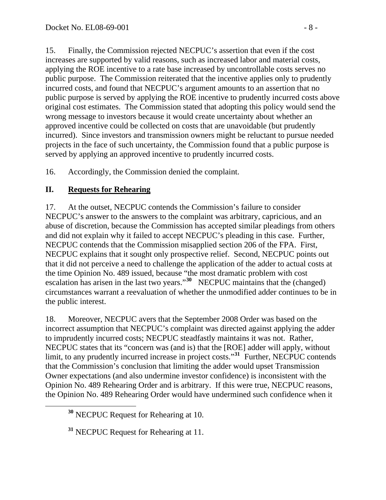15. Finally, the Commission rejected NECPUC's assertion that even if the cost increases are supported by valid reasons, such as increased labor and material costs, applying the ROE incentive to a rate base increased by uncontrollable costs serves no public purpose. The Commission reiterated that the incentive applies only to prudently incurred costs, and found that NECPUC's argument amounts to an assertion that no public purpose is served by applying the ROE incentive to prudently incurred costs above original cost estimates. The Commission stated that adopting this policy would send the wrong message to investors because it would create uncertainty about whether an approved incentive could be collected on costs that are unavoidable (but prudently incurred). Since investors and transmission owners might be reluctant to pursue needed projects in the face of such uncertainty, the Commission found that a public purpose is served by applying an approved incentive to prudently incurred costs.

16. Accordingly, the Commission denied the complaint.

### **II. Requests for Rehearing**

17. At the outset, NECPUC contends the Commission's failure to consider NECPUC's answer to the answers to the complaint was arbitrary, capricious, and an abuse of discretion, because the Commission has accepted similar pleadings from others and did not explain why it failed to accept NECPUC's pleading in this case. Further, NECPUC contends that the Commission misapplied section 206 of the FPA. First, NECPUC explains that it sought only prospective relief. Second, NECPUC points out that it did not perceive a need to challenge the application of the adder to actual costs at the time Opinion No. 489 issued, because "the most dramatic problem with cost escalation has arisen in the last two years."**[30](#page-7-0)** NECPUC maintains that the (changed) circumstances warrant a reevaluation of whether the unmodified adder continues to be in the public interest.

18. Moreover, NECPUC avers that the September 2008 Order was based on the incorrect assumption that NECPUC's complaint was directed against applying the adder to imprudently incurred costs; NECPUC steadfastly maintains it was not. Rather, NECPUC states that its "concern was (and is) that the [ROE] adder will apply, without limit, to any prudently incurred increase in project costs."<sup>[31](#page-7-1)</sup> Further, NECPUC contends that the Commission's conclusion that limiting the adder would upset Transmission Owner expectations (and also undermine investor confidence) is inconsistent with the Opinion No. 489 Rehearing Order and is arbitrary. If this were true, NECPUC reasons, the Opinion No. 489 Rehearing Order would have undermined such confidence when it

<span id="page-7-0"></span>**<sup>30</sup>** NECPUC Request for Rehearing at 10.

<span id="page-7-1"></span>**<sup>31</sup>** NECPUC Request for Rehearing at 11.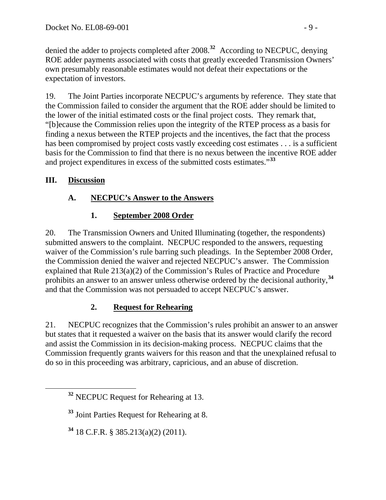denied the adder to projects completed after 2008.**<sup>32</sup>** According to NECPUC, denying ROE adder payments associated with costs that greatly exceeded Transmission Owners' own presumably reasonable estimates would not defeat their expectations or the expectation of investors.

19. The Joint Parties incorporate NECPUC's arguments by reference. They state that the Commission failed to consider the argument that the ROE adder should be limited to the lower of the initial estimated costs or the final project costs. They remark that, "[b]ecause the Commission relies upon the integrity of the RTEP process as a basis for finding a nexus between the RTEP projects and the incentives, the fact that the process has been compromised by project costs vastly exceeding cost estimates . . . is a sufficient basis for the Commission to find that there is no nexus between the incentive ROE adder and project expenditures in excess of the submitted costs estimates."**[33](#page-8-0)**

## **III. Discussion**

# **A. NECPUC's Answer to the Answers**

# **1. September 2008 Order**

20. The Transmission Owners and United Illuminating (together, the respondents) submitted answers to the complaint. NECPUC responded to the answers, requesting waiver of the Commission's rule barring such pleadings. In the September 2008 Order, the Commission denied the waiver and rejected NECPUC's answer. The Commission explained that Rule 213(a)(2) of the Commission's Rules of Practice and Procedure prohibits an answer to an answer unless otherwise ordered by the decisional authority,**[34](#page-8-1)** and that the Commission was not persuaded to accept NECPUC's answer.

# **2. Request for Rehearing**

21. NECPUC recognizes that the Commission's rules prohibit an answer to an answer but states that it requested a waiver on the basis that its answer would clarify the record and assist the Commission in its decision-making process. NECPUC claims that the Commission frequently grants waivers for this reason and that the unexplained refusal to do so in this proceeding was arbitrary, capricious, and an abuse of discretion.

<span id="page-8-0"></span>**<sup>33</sup>** Joint Parties Request for Rehearing at 8.

<span id="page-8-1"></span>**<sup>34</sup>** 18 C.F.R. § 385.213(a)(2) (2011).

**<sup>32</sup>** NECPUC Request for Rehearing at 13.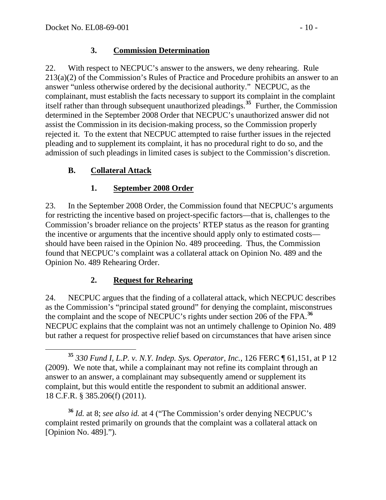#### **3. Commission Determination**

22. With respect to NECPUC's answer to the answers, we deny rehearing. Rule 213(a)(2) of the Commission's Rules of Practice and Procedure prohibits an answer to an answer "unless otherwise ordered by the decisional authority." NECPUC, as the complainant, must establish the facts necessary to support its complaint in the complaint itself rather than through subsequent unauthorized pleadings.**[35](#page-9-0)** Further, the Commission determined in the September 2008 Order that NECPUC's unauthorized answer did not assist the Commission in its decision-making process, so the Commission properly rejected it. To the extent that NECPUC attempted to raise further issues in the rejected pleading and to supplement its complaint, it has no procedural right to do so, and the admission of such pleadings in limited cases is subject to the Commission's discretion.

### **B. Collateral Attack**

#### **1. September 2008 Order**

23. In the September 2008 Order, the Commission found that NECPUC's arguments for restricting the incentive based on project-specific factors—that is, challenges to the Commission's broader reliance on the projects' RTEP status as the reason for granting the incentive or arguments that the incentive should apply only to estimated costs should have been raised in the Opinion No. 489 proceeding. Thus, the Commission found that NECPUC's complaint was a collateral attack on Opinion No. 489 and the Opinion No. 489 Rehearing Order.

#### **2. Request for Rehearing**

24. NECPUC argues that the finding of a collateral attack, which NECPUC describes as the Commission's "principal stated ground" for denying the complaint, misconstrues the complaint and the scope of NECPUC's rights under section 206 of the FPA.**[36](#page-9-1)** NECPUC explains that the complaint was not an untimely challenge to Opinion No. 489 but rather a request for prospective relief based on circumstances that have arisen since

<span id="page-9-1"></span>**<sup>36</sup>** *Id.* at 8; *see also id.* at 4 ("The Commission's order denying NECPUC's complaint rested primarily on grounds that the complaint was a collateral attack on [Opinion No. 489].").

<span id="page-9-0"></span>**<sup>35</sup>** *330 Fund I, L.P. v. N.Y. Indep. Sys. Operator, Inc.*, 126 FERC ¶ 61,151, at P 12 (2009). We note that, while a complainant may not refine its complaint through an answer to an answer, a complainant may subsequently amend or supplement its complaint, but this would entitle the respondent to submit an additional answer. 18 C.F.R. § 385.206(f) (2011).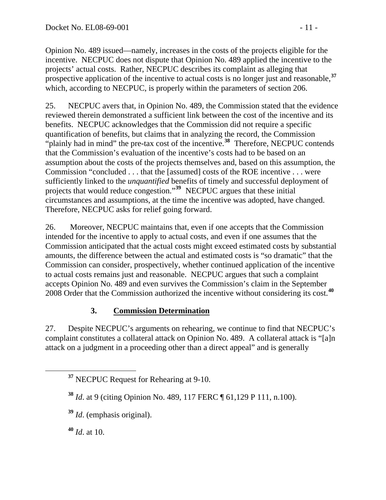Opinion No. 489 issued—namely, increases in the costs of the projects eligible for the incentive. NECPUC does not dispute that Opinion No. 489 applied the incentive to the projects' actual costs. Rather, NECPUC describes its complaint as alleging that prospective application of the incentive to actual costs is no longer just and reasonable,**<sup>37</sup>** which, according to NECPUC, is properly within the parameters of section 206.

25. NECPUC avers that, in Opinion No. 489, the Commission stated that the evidence reviewed therein demonstrated a sufficient link between the cost of the incentive and its benefits. NECPUC acknowledges that the Commission did not require a specific quantification of benefits, but claims that in analyzing the record, the Commission "plainly had in mind" the pre-tax cost of the incentive.**[38](#page-10-0)** Therefore, NECPUC contends that the Commission's evaluation of the incentive's costs had to be based on an assumption about the costs of the projects themselves and, based on this assumption, the Commission "concluded . . . that the [assumed] costs of the ROE incentive . . . were sufficiently linked to the *unquantified* benefits of timely and successful deployment of projects that would reduce congestion."**[39](#page-10-1)** NECPUC argues that these initial circumstances and assumptions, at the time the incentive was adopted, have changed. Therefore, NECPUC asks for relief going forward.

26. Moreover, NECPUC maintains that, even if one accepts that the Commission intended for the incentive to apply to actual costs, and even if one assumes that the Commission anticipated that the actual costs might exceed estimated costs by substantial amounts, the difference between the actual and estimated costs is "so dramatic" that the Commission can consider, prospectively, whether continued application of the incentive to actual costs remains just and reasonable. NECPUC argues that such a complaint accepts Opinion No. 489 and even survives the Commission's claim in the September 2008 Order that the Commission authorized the incentive without considering its cost.**[40](#page-10-2)**

## **3. Commission Determination**

27. Despite NECPUC's arguments on rehearing, we continue to find that NECPUC's complaint constitutes a collateral attack on Opinion No. 489. A collateral attack is "[a]n attack on a judgment in a proceeding other than a direct appeal" and is generally

<span id="page-10-2"></span>**<sup>40</sup>** *Id*. at 10.

**<sup>37</sup>** NECPUC Request for Rehearing at 9-10.

<span id="page-10-0"></span>**<sup>38</sup>** *Id*. at 9 (citing Opinion No. 489, 117 FERC ¶ 61,129 P 111, n.100).

<span id="page-10-1"></span>**<sup>39</sup>** *Id*. (emphasis original).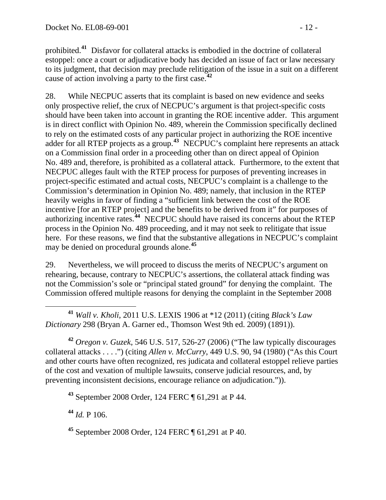prohibited.**<sup>41</sup>** Disfavor for collateral attacks is embodied in the doctrine of collateral estoppel: once a court or adjudicative body has decided an issue of fact or law necessary to its judgment, that decision may preclude relitigation of the issue in a suit on a different cause of action involving a party to the first case.**<sup>42</sup>**

28. While NECPUC asserts that its complaint is based on new evidence and seeks only prospective relief, the crux of NECPUC's argument is that project-specific costs should have been taken into account in granting the ROE incentive adder. This argument is in direct conflict with Opinion No. 489, wherein the Commission specifically declined to rely on the estimated costs of any particular project in authorizing the ROE incentive adder for all RTEP projects as a group.**[43](#page-11-0)** NECPUC's complaint here represents an attack on a Commission final order in a proceeding other than on direct appeal of Opinion No. 489 and, therefore, is prohibited as a collateral attack. Furthermore, to the extent that NECPUC alleges fault with the RTEP process for purposes of preventing increases in project-specific estimated and actual costs, NECPUC's complaint is a challenge to the Commission's determination in Opinion No. 489; namely, that inclusion in the RTEP heavily weighs in favor of finding a "sufficient link between the cost of the ROE incentive [for an RTEP project] and the benefits to be derived from it" for purposes of authorizing incentive rates.**[44](#page-11-1)** NECPUC should have raised its concerns about the RTEP process in the Opinion No. 489 proceeding, and it may not seek to relitigate that issue here. For these reasons, we find that the substantive allegations in NECPUC's complaint may be denied on procedural grounds alone.**[45](#page-11-2)**

29. Nevertheless, we will proceed to discuss the merits of NECPUC's argument on rehearing, because, contrary to NECPUC's assertions, the collateral attack finding was not the Commission's sole or "principal stated ground" for denying the complaint. The Commission offered multiple reasons for denying the complaint in the September 2008

 **<sup>41</sup>** *Wall v. Kholi*, 2011 U.S. LEXIS 1906 at \*12 (2011) (citing *Black's Law Dictionary* 298 (Bryan A. Garner ed., Thomson West 9th ed. 2009) (1891)).

**<sup>42</sup>** *Oregon v. Guzek*, 546 U.S. 517, 526-27 (2006) ("The law typically discourages collateral attacks . . . .") (citing *Allen v. McCurry*, 449 U.S. 90, 94 (1980) ("As this Court and other courts have often recognized, res judicata and collateral estoppel relieve parties of the cost and vexation of multiple lawsuits, conserve judicial resources, and, by preventing inconsistent decisions, encourage reliance on adjudication.")).

<span id="page-11-0"></span>**<sup>43</sup>** September 2008 Order, 124 FERC ¶ 61,291 at P 44.

<span id="page-11-1"></span>**<sup>44</sup>** *Id.* P 106.

<span id="page-11-2"></span>**<sup>45</sup>** September 2008 Order, 124 FERC ¶ 61,291 at P 40.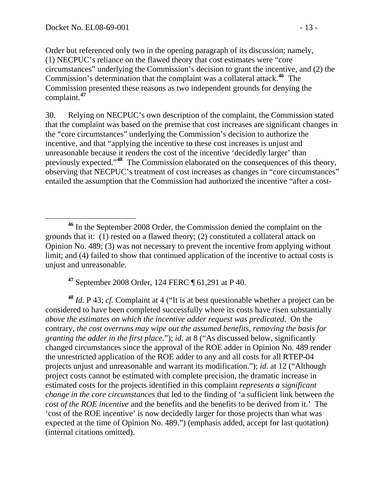Order but referenced only two in the opening paragraph of its discussion; namely, (1) NECPUC's reliance on the flawed theory that cost estimates were "core circumstances" underlying the Commission's decision to grant the incentive, and (2) the Commission's determination that the complaint was a collateral attack.**<sup>46</sup>** The Commission presented these reasons as two independent grounds for denying the complaint.**<sup>47</sup>**

30. Relying on NECPUC's own description of the complaint, the Commission stated that the complaint was based on the premise that cost increases are significant changes in the "core circumstances" underlying the Commission's decision to authorize the incentive, and that "applying the incentive to these cost increases is unjust and unreasonable because it renders the cost of the incentive 'decidedly larger' than previously expected."**[48](#page-12-0)** The Commission elaborated on the consequences of this theory, observing that NECPUC's treatment of cost increases as changes in "core circumstances" entailed the assumption that the Commission had authorized the incentive "after a cost-

**<sup>47</sup>** September 2008 Order, 124 FERC ¶ 61,291 at P 40.

<span id="page-12-0"></span>**<sup>48</sup>** *Id.* P 43; *cf.* Complaint at 4 ("It is at best questionable whether a project can be considered to have been completed successfully where its costs have risen substantially *above the estimates on which the incentive adder request was predicated.* On the contrary, *the cost overruns may wipe out the assumed benefits, removing the basis for granting the adder in the first place.*"); *id.* at 8 ("As discussed below, significantly changed circumstances since the approval of the ROE adder in Opinion No. 489 render the unrestricted application of the ROE adder to any and all costs for all RTEP-04 projects unjust and unreasonable and warrant its modification."); *id.* at 12 ("Although project costs cannot be estimated with complete precision, the dramatic increase in estimated costs for the projects identified in this complaint *represents a significant change in the core circumstances* that led to the finding of 'a sufficient link between *the cost of the ROE incentive* and the benefits and the benefits to be derived from it.' The 'cost of the ROE incentive' is now decidedly larger for those projects than what was expected at the time of Opinion No. 489.") (emphasis added, accept for last quotation) (internal citations omitted).

**<sup>46</sup>** In the September 2008 Order, the Commission denied the complaint on the grounds that it: (1) rested on a flawed theory; (2) constituted a collateral attack on Opinion No. 489; (3) was not necessary to prevent the incentive from applying without limit; and (4) failed to show that continued application of the incentive to actual costs is unjust and unreasonable.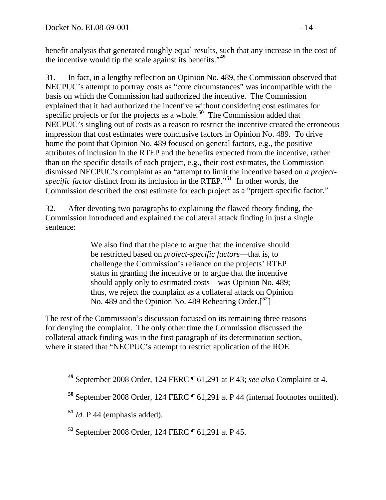benefit analysis that generated roughly equal results, such that any increase in the cost of the incentive would tip the scale against its benefits."**<sup>49</sup>**

31. In fact, in a lengthy reflection on Opinion No. 489, the Commission observed that NECPUC's attempt to portray costs as "core circumstances" was incompatible with the basis on which the Commission had authorized the incentive. The Commission explained that it had authorized the incentive without considering cost estimates for specific projects or for the projects as a whole.**[50](#page-13-0)** The Commission added that NECPUC's singling out of costs as a reason to restrict the incentive created the erroneous impression that cost estimates were conclusive factors in Opinion No. 489. To drive home the point that Opinion No. 489 focused on general factors, e.g., the positive attributes of inclusion in the RTEP and the benefits expected from the incentive, rathe r than on the specific details of each project, e.g., their cost estimates, the Commission dismissed NECPUC's complaint as an "attempt to limit the incentive based on *a projectspecific factor* distinct from its inclusion in the RTEP." **[51](#page-13-1)** In other words, the Commission described the cost estimate for each project as a "project-specific factor."

32. After devoting two paragraphs to explaining the flawed theory finding, the Commission introduced and explained the collateral attack finding in just a single sentence:

> We also find that the place to argue that the incentive should be restricted based on *project-specific factors*—that is, to challenge the Commission's reliance on the projects' RTEP status in granting the incentive or to argue that the incentive should apply only to estimated costs—was Opinion No. 489; thus, we reject the complaint as a collateral attack on Opinion No. 489 and the Opinion No. 489 Rehearing Order.[**[52](#page-13-2)**]

The rest of the Commission's discussion focused on its remaining three reasons for denying the complaint. The only other time the Commission discussed the collateral attack finding was in the first paragraph of its determination section, where it stated that "NECPUC's attempt to restrict application of the ROE

<span id="page-13-1"></span><span id="page-13-0"></span> $\overline{a}$ 

**<sup>49</sup>** September 2008 Order, 124 FERC ¶ 61,291 at P 43; *see also* Complaint at 4.

**<sup>50</sup>** September 2008 Order, 124 FERC ¶ 61,291 at P 44 (internal footnotes omitted).

**<sup>51</sup>** *Id.* P 44 (emphasis added).

<span id="page-13-2"></span>**<sup>52</sup>** September 2008 Order, 124 FERC ¶ 61,291 at P 45.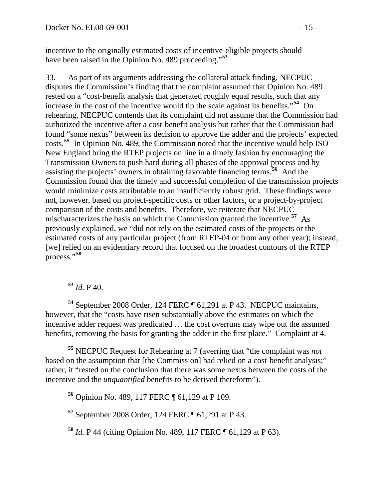incentive to the originally estimated costs of incentive-eligible projects should have been raised in the Opinion No. 489 proceeding."**[53](#page-14-0)**

33. As part of its arguments addressing the collateral attack finding, NECPUC disputes the Commission's finding that the complaint assumed that Opinion No. 489 rested on a "cost-benefit analysis that generated roughly equal results, such that any increase in the cost of the incentive would tip the scale against its benefits."**[54](#page-14-1)** On rehearing, NECPUC contends that its complaint did not assume that the Commission had authorized the incentive after a cost-benefit analysis but rather that the Commission had found "some nexus" between its decision to approve the adder and the projects' expected costs.**[55](#page-14-2)** In Opinion No. 489, the Commission noted that the incentive would help ISO New England bring the RTEP projects on line in a timely fashion by encouraging the Transmission Owners to push hard during all phases of the approval process and by assisting the projects' owners in obtaining favorable financing terms.**[56](#page-14-3)** And the Commission found that the timely and successful completion of the transmission projects would minimize costs attributable to an insufficiently robust grid. These findings were not, however, based on project-specific costs or other factors, or a project-by-project comparison of the costs and benefits. Therefore, we reiterate that NECPUC mischaracterizes the basis on which the Commission granted the incentive.**[57](#page-14-4)** As previously explained, we "did not rely on the estimated costs of the projects or the estimated costs of any particular project (from RTEP-04 or from any other year); instead, [we] relied on an evidentiary record that focused on the broadest contours of the RTEP process."**[58](#page-14-5)**

### **<sup>53</sup>** *Id.* P 40.

<span id="page-14-1"></span><span id="page-14-0"></span>**<sup>54</sup>** September 2008 Order, 124 FERC ¶ 61,291 at P 43. NECPUC maintains, however, that the "costs have risen substantially above the estimates on which the incentive adder request was predicated … the cost overruns may wipe out the assumed benefits, removing the basis for granting the adder in the first place." Complaint at 4.

<span id="page-14-3"></span><span id="page-14-2"></span>**<sup>55</sup>** NECPUC Request for Rehearing at 7 (averring that "the complaint was *not*  based on the assumption that [the Commission] had relied on a cost-benefit analysis;" rather, it "rested on the conclusion that there was some nexus between the costs of the incentive and the *unquantified* benefits to be derived thereform").

**<sup>56</sup>** Opinion No. 489, 117 FERC ¶ 61,129 at P 109.

<span id="page-14-4"></span>**<sup>57</sup>** September 2008 Order, 124 FERC ¶ 61,291 at P 43.

<span id="page-14-5"></span>**<sup>58</sup>** *Id.* P 44 (citing Opinion No. 489, 117 FERC ¶ 61,129 at P 63).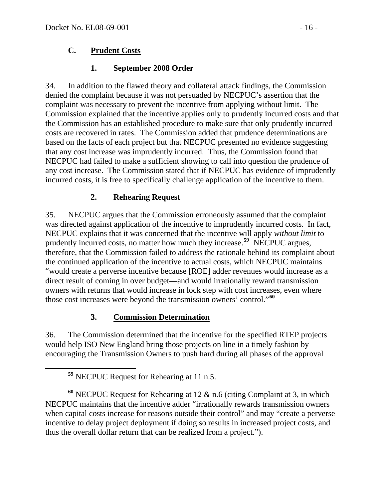### **C. Prudent Costs**

### **1. September 2008 Order**

34. In addition to the flawed theory and collateral attack findings, the Commission denied the complaint because it was not persuaded by NECPUC's assertion that the complaint was necessary to prevent the incentive from applying without limit. The Commission explained that the incentive applies only to prudently incurred costs and that the Commission has an established procedure to make sure that only prudently incurred costs are recovered in rates. The Commission added that prudence determinations are based on the facts of each project but that NECPUC presented no evidence suggesting that any cost increase was imprudently incurred. Thus, the Commission found that NECPUC had failed to make a sufficient showing to call into question the prudence of any cost increase. The Commission stated that if NECPUC has evidence of imprudently incurred costs, it is free to specifically challenge application of the incentive to them.

## **2. Rehearing Request**

35. NECPUC argues that the Commission erroneously assumed that the complaint was directed against application of the incentive to imprudently incurred costs. In fact, NECPUC explains that it was concerned that the incentive will apply *without limit* to prudently incurred costs, no matter how much they increase.**[59](#page-15-0)** NECPUC argues, therefore, that the Commission failed to address the rationale behind its complaint about the continued application of the incentive to actual costs, which NECPUC maintains "would create a perverse incentive because [ROE] adder revenues would increase as a direct result of coming in over budget—and would irrationally reward transmission owners with returns that would increase in lock step with cost increases, even where those cost increases were beyond the transmission owners' control."**[60](#page-15-1)**

## **3. Commission Determination**

36. The Commission determined that the incentive for the specified RTEP projects would help ISO New England bring those projects on line in a timely fashion by encouraging the Transmission Owners to push hard during all phases of the approval

**<sup>59</sup>** NECPUC Request for Rehearing at 11 n.5.

<span id="page-15-1"></span><span id="page-15-0"></span>**<sup>60</sup>** NECPUC Request for Rehearing at 12 & n.6 (citing Complaint at 3, in which NECPUC maintains that the incentive adder "irrationally rewards transmission owners when capital costs increase for reasons outside their control" and may "create a perverse incentive to delay project deployment if doing so results in increased project costs, and thus the overall dollar return that can be realized from a project.").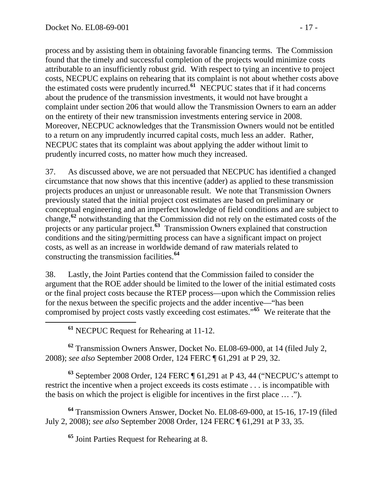process and by assisting them in obtaining favorable financing terms. The Commission found that the timely and successful completion of the projects would minimize costs attributable to an insufficiently robust grid. With respect to tying an incentive to project costs, NECPUC explains on rehearing that its complaint is not about whether costs above the estimated costs were prudently incurred.**<sup>61</sup>** NECPUC states that if it had concerns about the prudence of the transmission investments, it would not have brought a complaint under section 206 that would allow the Transmission Owners to earn an adder on the entirety of their new transmission investments entering service in 2008. Moreover, NECPUC acknowledges that the Transmission Owners would not be entitled to a return on any imprudently incurred capital costs, much less an adder. Rather, NECPUC states that its complaint was about applying the adder without limit to prudently incurred costs, no matter how much they increased.

37. As discussed above, we are not persuaded that NECPUC has identified a changed circumstance that now shows that this incentive (adder) as applied to these transmission projects produces an unjust or unreasonable result. We note that Transmission Owners previously stated that the initial project cost estimates are based on preliminary or conceptual engineering and an imperfect knowledge of field conditions and are subject to change,**[62](#page-16-0)** notwithstanding that the Commission did not rely on the estimated costs of the projects or any particular project.**[63](#page-16-1)** Transmission Owners explained that construction conditions and the siting/permitting process can have a significant impact on project costs, as well as an increase in worldwide demand of raw materials related to constructing the transmission facilities.**[64](#page-16-2)**

38. Lastly, the Joint Parties contend that the Commission failed to consider the argument that the ROE adder should be limited to the lower of the initial estimated costs or the final project costs because the RTEP process—upon which the Commission relies for the nexus between the specific projects and the adder incentive—"has been compromised by project costs vastly exceeding cost estimates."**[65](#page-16-3)** We reiterate that the

**<sup>61</sup>** NECPUC Request for Rehearing at 11-12.

<span id="page-16-0"></span>**<sup>62</sup>** Transmission Owners Answer, Docket No. EL08-69-000, at 14 (filed July 2, 2008); *see also* September 2008 Order, 124 FERC ¶ 61,291 at P 29, 32.

<span id="page-16-1"></span>**<sup>63</sup>** September 2008 Order, 124 FERC ¶ 61,291 at P 43, 44 ("NECPUC's attempt to restrict the incentive when a project exceeds its costs estimate . . . is incompatible with the basis on which the project is eligible for incentives in the first place … .").

<span id="page-16-3"></span><span id="page-16-2"></span>**<sup>64</sup>** Transmission Owners Answer, Docket No. EL08-69-000, at 15-16, 17-19 (filed July 2, 2008); *see also* September 2008 Order, 124 FERC ¶ 61,291 at P 33, 35.

**<sup>65</sup>** Joint Parties Request for Rehearing at 8.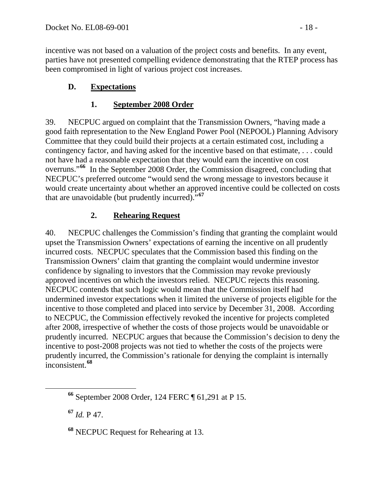incentive was not based on a valuation of the project costs and benefits. In any event, parties have not presented compelling evidence demonstrating that the RTEP process has been compromised in light of various project cost increases.

## **D. Expectations**

### **1. September 2008 Order**

39. NECPUC argued on complaint that the Transmission Owners, "having made a good faith representation to the New England Power Pool (NEPOOL) Planning Advisory Committee that they could build their projects at a certain estimated cost, including a contingency factor, and having asked for the incentive based on that estimate, . . . could not have had a reasonable expectation that they would earn the incentive on cost overruns."**[66](#page-17-0)** In the September 2008 Order, the Commission disagreed, concluding that NECPUC's preferred outcome "would send the wrong message to investors because it would create uncertainty about whether an approved incentive could be collected on costs that are unavoidable (but prudently incurred)."**[67](#page-17-1)**

## **2. Rehearing Request**

40. NECPUC challenges the Commission's finding that granting the complaint would upset the Transmission Owners' expectations of earning the incentive on all prudently incurred costs. NECPUC speculates that the Commission based this finding on the Transmission Owners' claim that granting the complaint would undermine investor confidence by signaling to investors that the Commission may revoke previously approved incentives on which the investors relied. NECPUC rejects this reasoning. NECPUC contends that such logic would mean that the Commission itself had undermined investor expectations when it limited the universe of projects eligible for the incentive to those completed and placed into service by December 31, 2008. According to NECPUC, the Commission effectively revoked the incentive for projects completed after 2008, irrespective of whether the costs of those projects would be unavoidable or prudently incurred. NECPUC argues that because the Commission's decision to deny the incentive to post-2008 projects was not tied to whether the costs of the projects were prudently incurred, the Commission's rationale for denying the complaint is internally inconsistent.**[68](#page-17-2)**

<span id="page-17-1"></span>**<sup>67</sup>** *Id.* P 47.

<span id="page-17-2"></span>**<sup>68</sup>** NECPUC Request for Rehearing at 13.

<span id="page-17-0"></span>**<sup>66</sup>** September 2008 Order, 124 FERC ¶ 61,291 at P 15.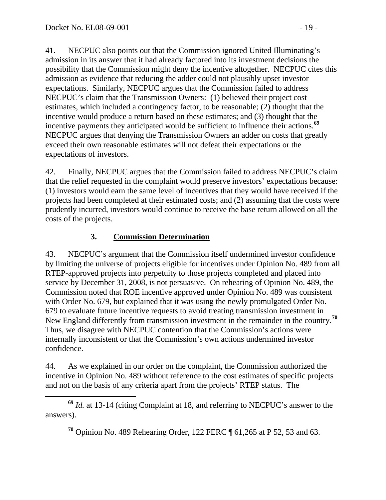41. NECPUC also points out that the Commission ignored United Illuminating's admission in its answer that it had already factored into its investment decisions the possibility that the Commission might deny the incentive altogether. NECPUC cites this admission as evidence that reducing the adder could not plausibly upset investor expectations. Similarly, NECPUC argues that the Commission failed to address NECPUC's claim that the Transmission Owners: (1) believed their project cost estimates, which included a contingency factor, to be reasonable; (2) thought that the incentive would produce a return based on these estimates; and (3) thought that the incentive payments they anticipated would be sufficient to influence their actions.**[69](#page-18-0)** NECPUC argues that denying the Transmission Owners an adder on costs that greatly exceed their own reasonable estimates will not defeat their expectations or the expectations of investors.

42. Finally, NECPUC argues that the Commission failed to address NECPUC's claim that the relief requested in the complaint would preserve investors' expectations because: (1) investors would earn the same level of incentives that they would have received if the projects had been completed at their estimated costs; and (2) assuming that the costs were prudently incurred, investors would continue to receive the base return allowed on all the costs of the projects.

### **3. Commission Determination**

43. NECPUC's argument that the Commission itself undermined investor confidence by limiting the universe of projects eligible for incentives under Opinion No. 489 from all RTEP-approved projects into perpetuity to those projects completed and placed into service by December 31, 2008, is not persuasive. On rehearing of Opinion No. 489, the Commission noted that ROE incentive approved under Opinion No. 489 was consistent with Order No. 679, but explained that it was using the newly promulgated Order No. 679 to evaluate future incentive requests to avoid treating transmission investment in New England differently from transmission investment in the remainder in the country.**[70](#page-18-1)** Thus, we disagree with NECPUC contention that the Commission's actions were internally inconsistent or that the Commission's own actions undermined investor confidence.

44. As we explained in our order on the complaint, the Commission authorized the incentive in Opinion No. 489 without reference to the cost estimates of specific projects and not on the basis of any criteria apart from the projects' RTEP status. The

**<sup>70</sup>** Opinion No. 489 Rehearing Order, 122 FERC ¶ 61,265 at P 52, 53 and 63.

<span id="page-18-1"></span><span id="page-18-0"></span>**<sup>69</sup>** *Id.* at 13-14 (citing Complaint at 18, and referring to NECPUC's answer to the answers).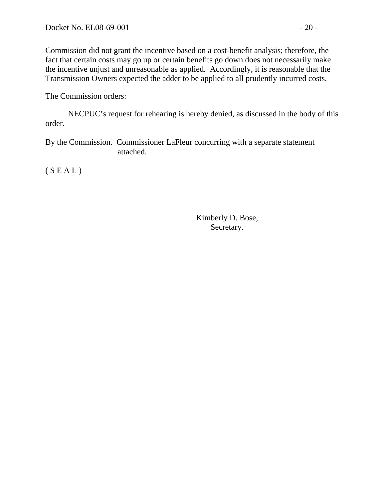Commission did not grant the incentive based on a cost-benefit analysis; therefore, the fact that certain costs may go up or certain benefits go down does not necessarily make the incentive unjust and unreasonable as applied. Accordingly, it is reasonable that the Transmission Owners expected the adder to be applied to all prudently incurred costs.

#### The Commission orders:

NECPUC's request for rehearing is hereby denied, as discussed in the body of this order.

By the Commission. Commissioner LaFleur concurring with a separate statement attached.

 $(S E A L)$ 

Kimberly D. Bose, Secretary.